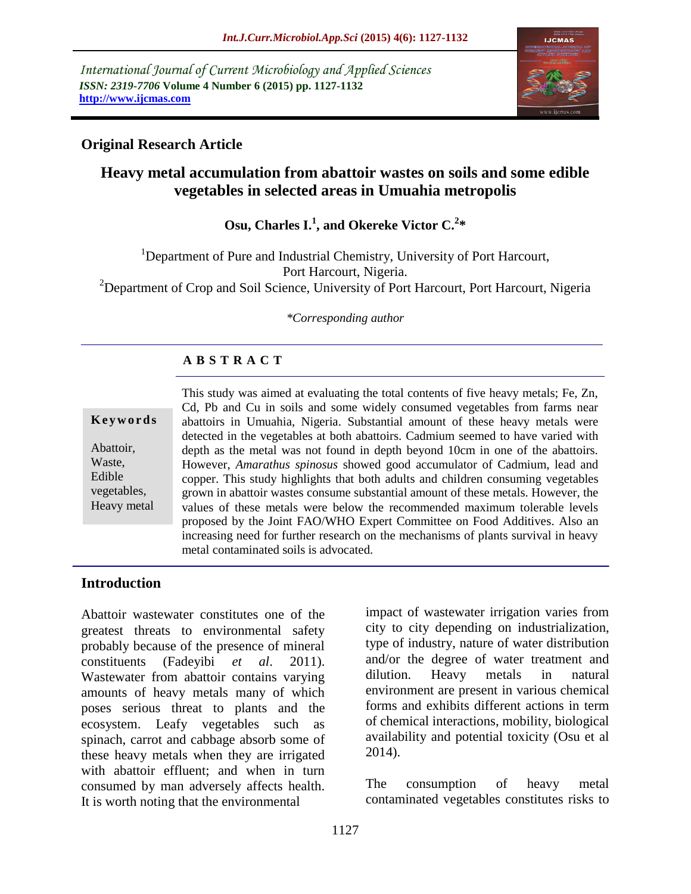*International Journal of Current Microbiology and Applied Sciences ISSN: 2319-7706* **Volume 4 Number 6 (2015) pp. 1127-1132 http://www.ijcmas.com** 



# **Original Research Article**

# **Heavy metal accumulation from abattoir wastes on soils and some edible vegetables in selected areas in Umuahia metropolis**

**Osu, Charles I.<sup>1</sup> , and Okereke Victor C.<sup>2</sup> \***

<sup>1</sup>Department of Pure and Industrial Chemistry, University of Port Harcourt, Port Harcourt, Nigeria. <sup>2</sup>Department of Crop and Soil Science, University of Port Harcourt, Port Harcourt, Nigeria

*\*Corresponding author*

### **A B S T R A C T**

|             | This study was aimed at evaluating the total contents of five heavy metals; Fe, Zn, |
|-------------|-------------------------------------------------------------------------------------|
|             | Cd, Pb and Cu in soils and some widely consumed vegetables from farms near          |
| Keywords    | abattoirs in Umuahia, Nigeria. Substantial amount of these heavy metals were        |
|             | detected in the vegetables at both abattoirs. Cadmium seemed to have varied with    |
| Abattoir,   | depth as the metal was not found in depth beyond 10cm in one of the abattoirs.      |
| Waste,      | However, Amarathus spinosus showed good accumulator of Cadmium, lead and            |
| Edible      | copper. This study highlights that both adults and children consuming vegetables    |
| vegetables, | grown in abattoir wastes consume substantial amount of these metals. However, the   |
| Heavy metal | values of these metals were below the recommended maximum tolerable levels          |
|             | proposed by the Joint FAO/WHO Expert Committee on Food Additives. Also an           |
|             | increasing need for further research on the mechanisms of plants survival in heavy  |
|             | metal contaminated soils is advocated.                                              |

### **Introduction**

Abattoir wastewater constitutes one of the greatest threats to environmental safety probably because of the presence of mineral constituents (Fadeyibi *et al*. 2011). Wastewater from abattoir contains varying amounts of heavy metals many of which poses serious threat to plants and the ecosystem. Leafy vegetables such as spinach, carrot and cabbage absorb some of these heavy metals when they are irrigated with abattoir effluent; and when in turn consumed by man adversely affects health. It is worth noting that the environmental

impact of wastewater irrigation varies from city to city depending on industrialization, type of industry, nature of water distribution and/or the degree of water treatment and dilution. Heavy metals in natural environment are present in various chemical forms and exhibits different actions in term of chemical interactions, mobility, biological availability and potential toxicity (Osu et al 2014).

The consumption of heavy metal contaminated vegetables constitutes risks to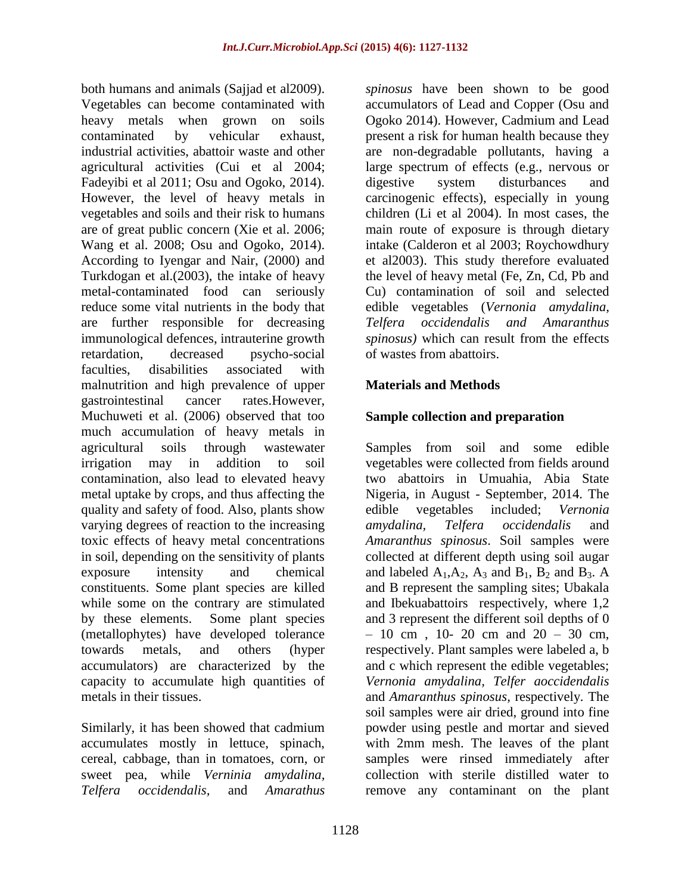both humans and animals (Sajjad et al2009). Vegetables can become contaminated with heavy metals when grown on soils contaminated by vehicular exhaust, industrial activities, abattoir waste and other agricultural activities (Cui et al 2004; Fadeyibi et al 2011; Osu and Ogoko, 2014). However, the level of heavy metals in vegetables and soils and their risk to humans are of great public concern (Xie et al. 2006; Wang et al. 2008; Osu and Ogoko, 2014). According to Iyengar and Nair, (2000) and Turkdogan et al.(2003), the intake of heavy metal-contaminated food can seriously reduce some vital nutrients in the body that are further responsible for decreasing immunological defences, intrauterine growth retardation, decreased psycho-social faculties, disabilities associated with malnutrition and high prevalence of upper gastrointestinal cancer rates.However, Muchuweti et al. (2006) observed that too much accumulation of heavy metals in agricultural soils through wastewater irrigation may in addition to soil contamination, also lead to elevated heavy metal uptake by crops, and thus affecting the quality and safety of food. Also, plants show varying degrees of reaction to the increasing toxic effects of heavy metal concentrations in soil, depending on the sensitivity of plants exposure intensity and chemical constituents. Some plant species are killed while some on the contrary are stimulated by these elements. Some plant species (metallophytes) have developed tolerance towards metals, and others (hyper accumulators) are characterized by the capacity to accumulate high quantities of metals in their tissues.

Similarly, it has been showed that cadmium accumulates mostly in lettuce, spinach, cereal, cabbage, than in tomatoes, corn, or sweet pea, while *Verninia amydalina, Telfera occidendalis,* and *Amarathus* 

*spinosus* have been shown to be good accumulators of Lead and Copper (Osu and Ogoko 2014). However, Cadmium and Lead present a risk for human health because they are non-degradable pollutants, having a large spectrum of effects (e.g., nervous or digestive system disturbances and carcinogenic effects), especially in young children (Li et al 2004). In most cases, the main route of exposure is through dietary intake (Calderon et al 2003; Roychowdhury et al2003). This study therefore evaluated the level of heavy metal (Fe, Zn, Cd, Pb and Cu) contamination of soil and selected edible vegetables (*Vernonia amydalina, Telfera occidendalis and Amaranthus spinosus)* which can result from the effects of wastes from abattoirs.

# **Materials and Methods**

# **Sample collection and preparation**

Samples from soil and some edible vegetables were collected from fields around two abattoirs in Umuahia, Abia State Nigeria, in August - September, 2014. The edible vegetables included; *Vernonia amydalina, Telfera occidendalis* and *Amaranthus spinosus*. Soil samples were collected at different depth using soil augar and labeled  $A_1, A_2, A_3$  and  $B_1, B_2$  and  $B_3$ . A and B represent the sampling sites; Ubakala and Ibekuabattoirs respectively, where 1,2 and 3 represent the different soil depths of 0  $-10$  cm, 10- 20 cm and 20 - 30 cm, respectively. Plant samples were labeled a, b and c which represent the edible vegetables; *Vernonia amydalina, Telfer aoccidendalis* and *Amaranthus spinosus,* respectively. The soil samples were air dried, ground into fine powder using pestle and mortar and sieved with 2mm mesh. The leaves of the plant samples were rinsed immediately after collection with sterile distilled water to remove any contaminant on the plant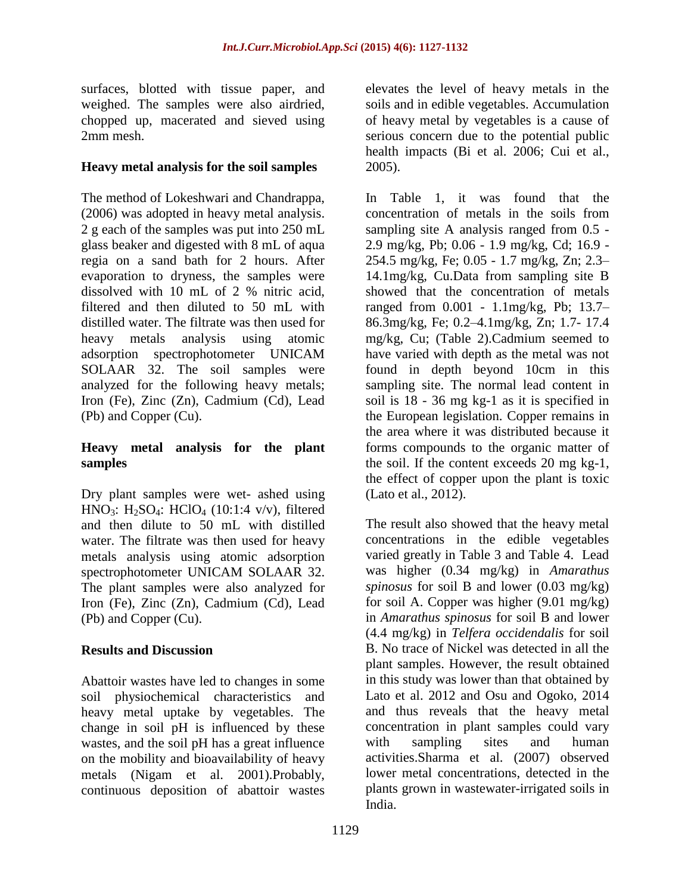surfaces, blotted with tissue paper, and weighed. The samples were also airdried, chopped up, macerated and sieved using 2mm mesh.

### **Heavy metal analysis for the soil samples**

The method of Lokeshwari and Chandrappa, (2006) was adopted in heavy metal analysis. 2 g each of the samples was put into 250 mL glass beaker and digested with 8 mL of aqua regia on a sand bath for 2 hours. After evaporation to dryness, the samples were dissolved with 10 mL of 2 % nitric acid, filtered and then diluted to 50 mL with distilled water. The filtrate was then used for heavy metals analysis using atomic adsorption spectrophotometer UNICAM SOLAAR 32. The soil samples were analyzed for the following heavy metals; Iron (Fe), Zinc (Zn), Cadmium (Cd), Lead (Pb) and Copper (Cu).

### **Heavy metal analysis for the plant samples**

Dry plant samples were wet- ashed using HNO<sub>3</sub>: H<sub>2</sub>SO<sub>4</sub>: HClO<sub>4</sub> (10:1:4 v/v), filtered and then dilute to 50 mL with distilled water. The filtrate was then used for heavy metals analysis using atomic adsorption spectrophotometer UNICAM SOLAAR 32. The plant samples were also analyzed for Iron (Fe), Zinc (Zn), Cadmium (Cd), Lead (Pb) and Copper (Cu).

### **Results and Discussion**

Abattoir wastes have led to changes in some soil physiochemical characteristics and heavy metal uptake by vegetables. The change in soil pH is influenced by these wastes, and the soil pH has a great influence on the mobility and bioavailability of heavy metals (Nigam et al. 2001).Probably, continuous deposition of abattoir wastes

elevates the level of heavy metals in the soils and in edible vegetables. Accumulation of heavy metal by vegetables is a cause of serious concern due to the potential public health impacts (Bi et al. 2006; Cui et al., 2005).

In Table 1, it was found that the concentration of metals in the soils from sampling site A analysis ranged from 0.5 - 2.9 mg/kg, Pb; 0.06 - 1.9 mg/kg, Cd; 16.9 - 254.5 mg/kg, Fe; 0.05 - 1.7 mg/kg, Zn; 2.3– 14.1mg/kg, Cu.Data from sampling site B showed that the concentration of metals ranged from 0.001 - 1.1mg/kg, Pb; 13.7– 86.3mg/kg, Fe; 0.2–4.1mg/kg, Zn; 1.7- 17.4 mg/kg, Cu; (Table 2).Cadmium seemed to have varied with depth as the metal was not found in depth beyond 10cm in this sampling site. The normal lead content in soil is 18 - 36 mg kg-1 as it is specified in the European legislation. Copper remains in the area where it was distributed because it forms compounds to the organic matter of the soil. If the content exceeds 20 mg kg-1, the effect of copper upon the plant is toxic (Lato et al., 2012).

The result also showed that the heavy metal concentrations in the edible vegetables varied greatly in Table 3 and Table 4. Lead was higher (0.34 mg/kg) in *Amarathus spinosus* for soil B and lower (0.03 mg/kg) for soil A. Copper was higher (9.01 mg/kg) in *Amarathus spinosus* for soil B and lower (4.4 mg/kg) in *Telfera occidendalis* for soil B. No trace of Nickel was detected in all the plant samples. However, the result obtained in this study was lower than that obtained by Lato et al. 2012 and Osu and Ogoko, 2014 and thus reveals that the heavy metal concentration in plant samples could vary with sampling sites and human activities.Sharma et al. (2007) observed lower metal concentrations, detected in the plants grown in wastewater-irrigated soils in India.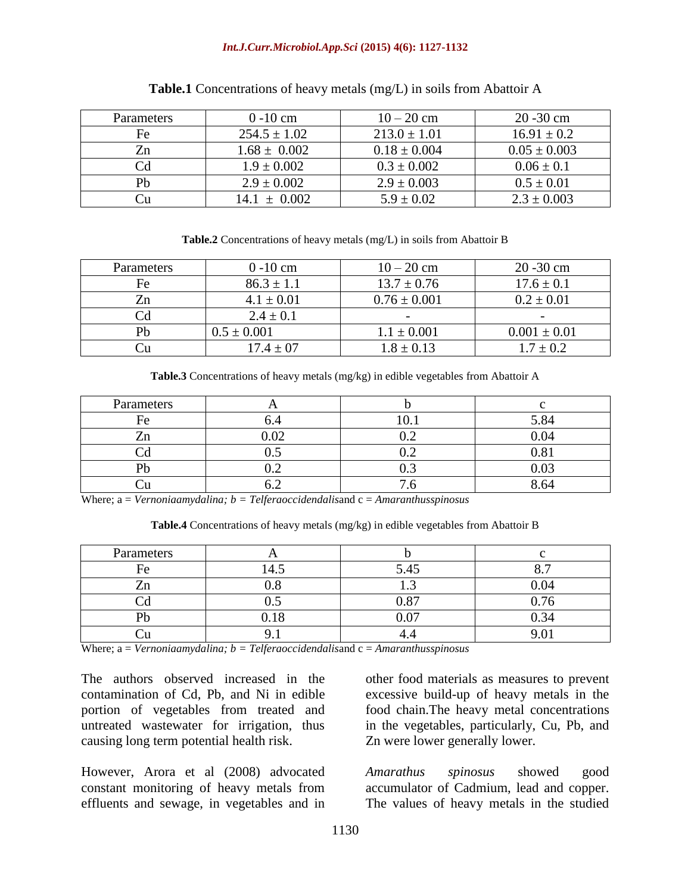#### *Int.J.Curr.Microbiol.App.Sci* **(2015) 4(6): 1127-1132**

| <b>Parameters</b> | $0 - 10$ cm      | $10 - 20$ cm     | $20 - 30$ cm     |
|-------------------|------------------|------------------|------------------|
| Fe                | $254.5 \pm 1.02$ | $213.0 \pm 1.01$ | $16.91 \pm 0.2$  |
|                   | $1.68 \pm 0.002$ | $0.18 \pm 0.004$ | $0.05 \pm 0.003$ |
| Cd                | $1.9 \pm 0.002$  | $0.3 \pm 0.002$  | $0.06 \pm 0.1$   |
| Pb                | $2.9 \pm 0.002$  | $2.9 \pm 0.003$  | $0.5 \pm 0.01$   |
|                   | $\pm 0.002$      | $5.9 \pm 0.02$   | $2.3 \pm 0.003$  |

#### **Table.1** Concentrations of heavy metals (mg/L) in soils from Abattoir A

#### **Table.2** Concentrations of heavy metals (mg/L) in soils from Abattoir B

| Parameters | $0 - 10$ cm     | $10 - 20$ cm     | $20 - 30$ cm     |
|------------|-----------------|------------------|------------------|
| Fe         | $86.3 \pm 1.1$  | $13.7 \pm 0.76$  | $17.6 \pm 0.1$   |
| $z_n$      | $4.1 \pm 0.01$  | $0.76 \pm 0.001$ | $0.2 \pm 0.01$   |
|            | $2.4 \pm 0.1$   |                  |                  |
| Ph         | $0.5 \pm 0.001$ | $1.1 \pm 0.001$  | $0.001 \pm 0.01$ |
|            | $17.4 + 07$     | $1.8 \pm 0.13$   | $7 + 0.2$        |

**Table.3** Concentrations of heavy metals (mg/kg) in edible vegetables from Abattoir A

| Parameters   |     |     |      |
|--------------|-----|-----|------|
| Fe           | U., |     | 5.84 |
|              |     |     |      |
|              | ∪.∪ | ◡.↩ |      |
| $\mathbf{D}$ | ◡ - | ∪.J |      |
|              |     | -   | -64  |

Where; a = *Vernoniaamydalina; b = Telferaoccidendalis*and c = *Amaranthusspinosus*

**Table.4** Concentrations of heavy metals (mg/kg) in edible vegetables from Abattoir B

| Parameters     |      |      |      |
|----------------|------|------|------|
| Fe             | 14.J | 5.45 |      |
| $\overline{ }$ |      |      |      |
|                |      | 0.87 |      |
| ורז            |      |      | 0.34 |
|                |      |      |      |

Where; a = *Vernoniaamydalina; b = Telferaoccidendalisand c = Amaranthusspinosus* 

The authors observed increased in the contamination of Cd, Pb, and Ni in edible portion of vegetables from treated and untreated wastewater for irrigation, thus causing long term potential health risk.

However, Arora et al (2008) advocated constant monitoring of heavy metals from effluents and sewage, in vegetables and in other food materials as measures to prevent excessive build-up of heavy metals in the food chain.The heavy metal concentrations in the vegetables, particularly, Cu, Pb, and Zn were lower generally lower.

*Amarathus spinosus* showed good accumulator of Cadmium, lead and copper. The values of heavy metals in the studied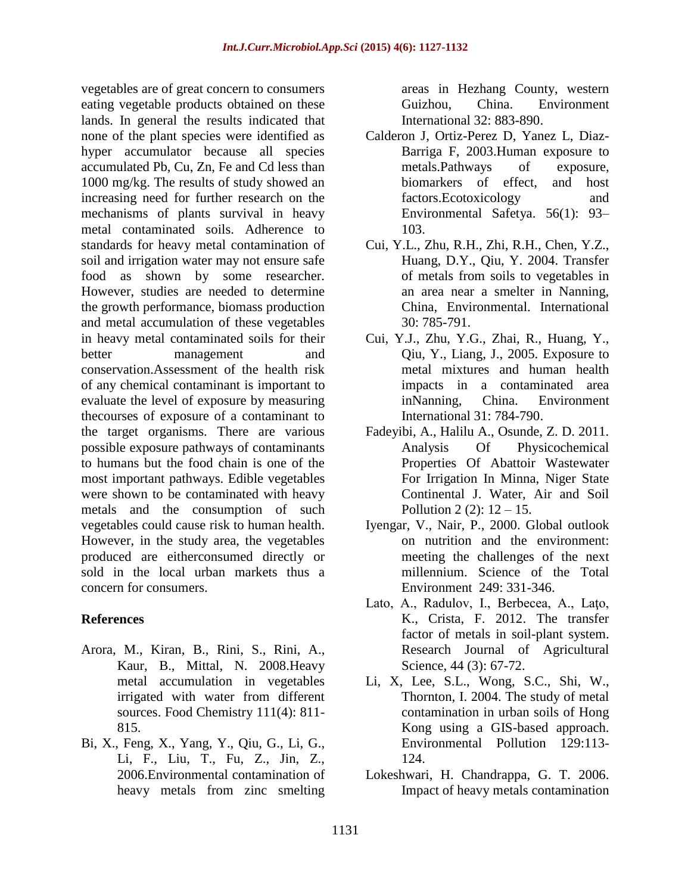vegetables are of great concern to consumers eating vegetable products obtained on these lands. In general the results indicated that none of the plant species were identified as hyper accumulator because all species accumulated Pb, Cu, Zn, Fe and Cd less than 1000 mg/kg. The results of study showed an increasing need for further research on the mechanisms of plants survival in heavy metal contaminated soils. Adherence to standards for heavy metal contamination of soil and irrigation water may not ensure safe food as shown by some researcher. However, studies are needed to determine the growth performance, biomass production and metal accumulation of these vegetables in heavy metal contaminated soils for their better management and conservation.Assessment of the health risk of any chemical contaminant is important to evaluate the level of exposure by measuring thecourses of exposure of a contaminant to the target organisms. There are various possible exposure pathways of contaminants to humans but the food chain is one of the most important pathways. Edible vegetables were shown to be contaminated with heavy metals and the consumption of such vegetables could cause risk to human health. However, in the study area, the vegetables produced are eitherconsumed directly or sold in the local urban markets thus a concern for consumers.

### **References**

- Arora, M., Kiran, B., Rini, S., Rini, A., Kaur, B., Mittal, N. 2008.Heavy metal accumulation in vegetables irrigated with water from different sources. Food Chemistry 111(4): 811- 815.
- Bi, X., Feng, X., Yang, Y., Qiu, G., Li, G., Li, F., Liu, T., Fu, Z., Jin, Z., 2006.Environmental contamination of heavy metals from zinc smelting

areas in Hezhang County, western Guizhou, China. Environment International 32: 883-890.

- Calderon J, Ortiz-Perez D, Yanez L, Diaz-Barriga F, 2003.Human exposure to metals.Pathways of exposure, biomarkers of effect, and host factors.Ecotoxicology and Environmental Safetya. 56(1): 93– 103.
- Cui, Y.L., Zhu, R.H., Zhi, R.H., Chen, Y.Z., Huang, D.Y., Qiu, Y. 2004. Transfer of metals from soils to vegetables in an area near a smelter in Nanning, China, Environmental. International 30: 785-791.
- Cui, Y.J., Zhu, Y.G., Zhai, R., Huang, Y., Qiu, Y., Liang, J., 2005. Exposure to metal mixtures and human health impacts in a contaminated area inNanning, China. Environment International 31: 784-790.
- Fadeyibi, A., Halilu A., Osunde, Z. D. 2011. Analysis Of Physicochemical Properties Of Abattoir Wastewater For Irrigation In Minna, Niger State Continental J. Water, Air and Soil Pollution 2 (2): 12 – 15.
- Iyengar, V., Nair, P., 2000. Global outlook on nutrition and the environment: meeting the challenges of the next millennium. Science of the Total Environment 249: 331-346.
- Lato, A., Radulov, I., Berbecea, A., Laţo, K., Crista, F. 2012. The transfer factor of metals in soil-plant system. Research Journal of Agricultural Science, 44 (3): 67-72.
- Li, X, Lee, S.L., Wong, S.C., Shi, W., Thornton, I. 2004. The study of metal contamination in urban soils of Hong Kong using a GIS-based approach. Environmental Pollution 129:113- 124.
- Lokeshwari, H. Chandrappa, G. T. 2006. Impact of heavy metals contamination